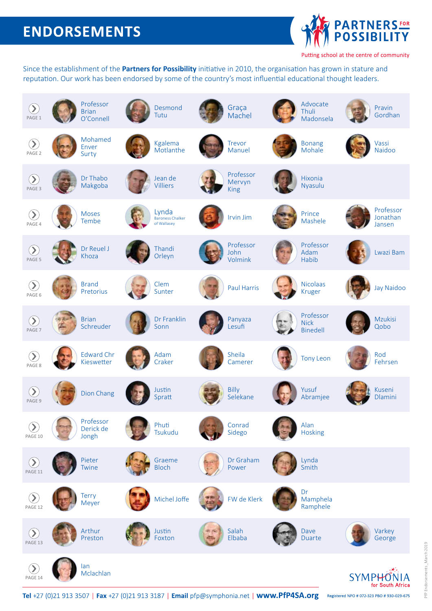## **ENDORSEMENTS**



Putting school at the centre of community

Since the establishment of the **Partners for Possibility** initiative in 2010, the organisation has grown in stature and reputation. Our work has been endorsed by some of the country's most influential educational thought leaders.



Tel +27 (0)21 913 3507 | Fax +27 (0)21 913 3187 | Email pfp@symphonia.net | www.PfP4SA.org Registered NPO # 072-323 PBO # 930-029-675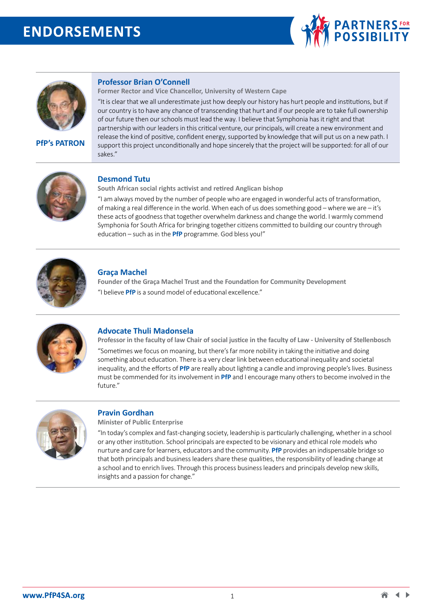## **ENDORSEMENTS**





**PfP's PATRON**

#### **Professor Brian O'Connell**

**Former Rector and Vice Chancellor, University of Western Cape** 

"It is clear that we all underestimate just how deeply our history has hurt people and institutions, but if our country is to have any chance of transcending that hurt and if our people are to take full ownership of our future then our schools must lead the way. I believe that Symphonia has it right and that partnership with our leaders in this critical venture, our principals, will create a new environment and release the kind of positive, confident energy, supported by knowledge that will put us on a new path. I support this project unconditionally and hope sincerely that the project will be supported: for all of our sakes."



## **Desmond Tutu**

**South African social rights activist and retired Anglican bishop** 

"I am always moved by the number of people who are engaged in wonderful acts of transformation, of making a real difference in the world. When each of us does something good – where we are – it's these acts of goodness that together overwhelm darkness and change the world. I warmly commend Symphonia for South Africa for bringing together citizens committed to building our country through education – such as in the **PfP** programme. God bless you!"



#### **Graça Machel**

**Founder of the Graça Machel Trust and the Foundation for Community Development**  "I believe **PfP** is a sound model of educational excellence."



#### **Advocate Thuli Madonsela**

**Professor in the faculty of law Chair of social justice in the faculty of Law - University of Stellenbosch**  "Sometimes we focus on moaning, but there's far more nobility in taking the initiative and doing something about education. There is a very clear link between educational inequality and societal inequality, and the efforts of **PfP** are really about lighting a candle and improving people's lives. Business must be commended for its involvement in **PfP** and I encourage many others to become involved in the future."



#### **Pravin Gordhan**

**Minister of Public Enterprise**

"In today's complex and fast-changing society, leadership is particularly challenging, whether in a school or any other institution. School principals are expected to be visionary and ethical role models who nurture and care for learners, educators and the community. **PfP** provides an indispensable bridge so that both principals and business leaders share these qualities, the responsibility of leading change at a school and to enrich lives. Through this process business leaders and principals develop new skills, insights and a passion for change."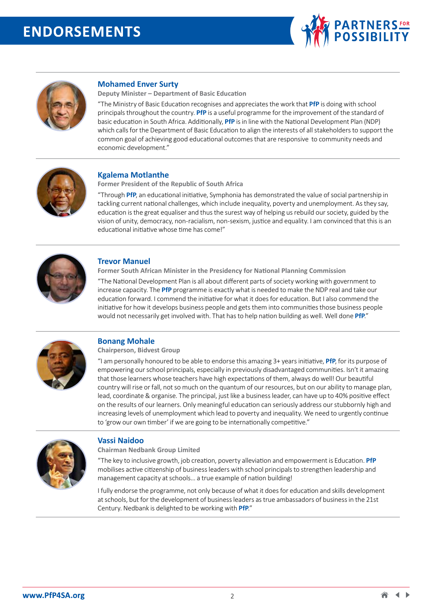



### **Mohamed Enver Surty**

**Deputy Minister – Department of Basic Education**

"The Ministry of Basic Education recognises and appreciates the work that **PfP** is doing with school principals throughout the country. **PfP** is a useful programme for the improvement of the standard of basic education in South Africa. Additionally, **PfP** is in line with the National Development Plan (NDP) which calls for the Department of Basic Education to align the interests of all stakeholders to support the common goal of achieving good educational outcomes that are responsive to community needs and economic development."



#### **Kgalema Motlanthe**

**Former President of the Republic of South Africa** 

"Through **PfP**, an educational initiative, Symphonia has demonstrated the value of social partnership in tackling current national challenges, which include inequality, poverty and unemployment. As they say, education is the great equaliser and thus the surest way of helping us rebuild our society, guided by the vision of unity, democracy, non-racialism, non-sexism, justice and equality. I am convinced that this is an educational initiative whose time has come!"



#### **Trevor Manuel**

**Former South African Minister in the Presidency for National Planning Commission**  "The National Development Plan is all about different parts of society working with government to increase capacity. The **PfP** programme is exactly what is needed to make the NDP real and take our education forward. I commend the initiative for what it does for education. But I also commend the initiative for how it develops business people and gets them into communities those business people would not necessarily get involved with. That has to help nation building as well. Well done **PfP**."



#### **Bonang Mohale**

**Chairperson, Bidvest Group** 

"I am personally honoured to be able to endorse this amazing 3+ years initiative, **PfP**, for its purpose of empowering our school principals, especially in previously disadvantaged communities. Isn't it amazing that those learners whose teachers have high expectations of them, always do well! Our beautiful country will rise or fall, not so much on the quantum of our resources, but on our ability to manage plan, lead, coordinate & organise. The principal, just like a business leader, can have up to 40% positive effect on the results of our learners. Only meaningful education can seriously address our stubbornly high and increasing levels of unemployment which lead to poverty and inequality. We need to urgently continue to 'grow our own timber' if we are going to be internationally competitive."



#### **Vassi Naidoo**

**Chairman Nedbank Group Limited** 

"The key to inclusive growth, job creation, poverty alleviation and empowerment is Education. **PfP** mobilises active citizenship of business leaders with school principals to strengthen leadership and management capacity at schools… a true example of nation building!

I fully endorse the programme, not only because of what it does for education and skills development at schools, but for the development of business leaders as true ambassadors of business in the 21st Century. Nedbank is delighted to be working with **PfP**."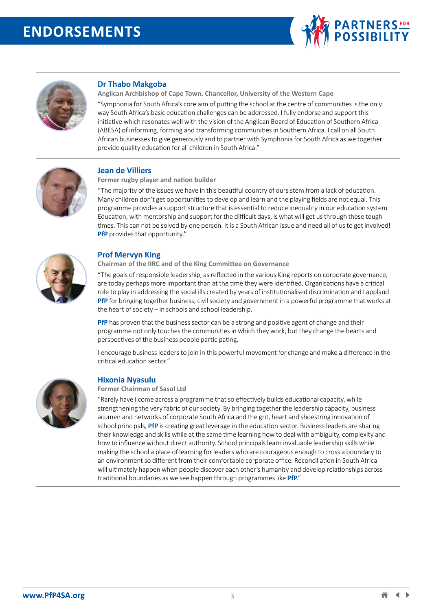



## **Dr Thabo Makgoba**

**Anglican Archbishop of Cape Town. Chancellor, University of the Western Cape**

"Symphonia for South Africa's core aim of putting the school at the centre of communities is the only way South Africa's basic education challenges can be addressed. I fully endorse and support this initiative which resonates well with the vision of the Anglican Board of Education of Southern Africa (ABESA) of informing, forming and transforming communities in Southern Africa. I call on all South African businesses to give generously and to partner with Symphonia for South Africa as we together provide quality education for all children in South Africa."



#### **Jean de Villiers**

**Former rugby player and nation builder** 

"The majority of the issues we have in this beautiful country of ours stem from a lack of education. Many children don't get opportunities to develop and learn and the playing fields are not equal. This programme provides a support structure that is essential to reduce inequality in our education system. Education, with mentorship and support for the difficult days, is what will get us through these tough times. This can not be solved by one person. It is a South African issue and need all of us to get involved! **PfP** provides that opportunity."



#### **Prof Mervyn King**

**Chairman of the IIRC and of the King Committee on Governance** 

"The goals of responsible leadership, as reflected in the various King reports on corporate governance, are today perhaps more important than at the time they were identified. Organisations have a critical role to play in addressing the social ills created by years of institutionalised discrimination and I applaud **PfP** for bringing together business, civil society and government in a powerful programme that works at the heart of society – in schools and school leadership.

**PfP** has proven that the business sector can be a strong and positive agent of change and their programme not only touches the communities in which they work, but they change the hearts and perspectives of the business people participating.

I encourage business leaders to join in this powerful movement for change and make a difference in the critical education sector."



#### **Hixonia Nyasulu**

**Former Chairman of Sasol Ltd** 

"Rarely have I come across a programme that so effectively builds educational capacity, while strengthening the very fabric of our society. By bringing together the leadership capacity, business acumen and networks of corporate South Africa and the grit, heart and shoestring innovation of school principals, **PfP** is creating great leverage in the education sector. Business leaders are sharing their knowledge and skills while at the same time learning how to deal with ambiguity, complexity and how to influence without direct authority. School principals learn invaluable leadership skills while making the school a place of learning for leaders who are courageous enough to cross a boundary to an environment so different from their comfortable corporate office. Reconciliation in South Africa will ultimately happen when people discover each other's humanity and develop relationships across traditional boundaries as we see happen through programmes like **PfP**."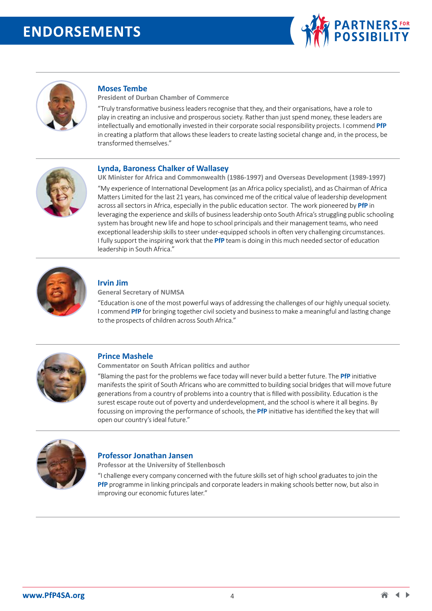



#### **Moses Tembe**

**President of Durban Chamber of Commerce** 

"Truly transformative business leaders recognise that they, and their organisations, have a role to play in creating an inclusive and prosperous society. Rather than just spend money, these leaders are intellectually and emotionally invested in their corporate social responsibility projects. I commend **PfP** in creating a platform that allows these leaders to create lasting societal change and, in the process, be transformed themselves."



#### **Lynda, Baroness Chalker of Wallasey**

**UK Minister for Africa and Commonwealth (1986-1997) and Overseas Development (1989-1997)**  "My experience of International Development (as an Africa policy specialist), and as Chairman of Africa Matters Limited for the last 21 years, has convinced me of the critical value of leadership development across all sectors in Africa, especially in the public education sector. The work pioneered by **PfP** in leveraging the experience and skills of business leadership onto South Africa's struggling public schooling system has brought new life and hope to school principals and their management teams, who need exceptional leadership skills to steer under-equipped schools in often very challenging circumstances. I fully support the inspiring work that the **PfP** team is doing in this much needed sector of education leadership in South Africa."



#### **Irvin Jim**

**General Secretary of NUMSA** 

"Education is one of the most powerful ways of addressing the challenges of our highly unequal society. I commend **PfP** for bringing together civil society and business to make a meaningful and lasting change to the prospects of children across South Africa."



#### **Prince Mashele**

**Commentator on South African politics and author** 

"Blaming the past for the problems we face today will never build a better future. The **PfP** initiative manifests the spirit of South Africans who are committed to building social bridges that will move future generations from a country of problems into a country that is filled with possibility. Education is the surest escape route out of poverty and underdevelopment, and the school is where it all begins. By focussing on improving the performance of schools, the **PfP** initiative has identified the key that will open our country's ideal future."



#### **Professor Jonathan Jansen**

**Professor at the University of Stellenbosch** 

"I challenge every company concerned with the future skills set of high school graduates to join the **PfP** programme in linking principals and corporate leaders in making schools better now, but also in improving our economic futures later."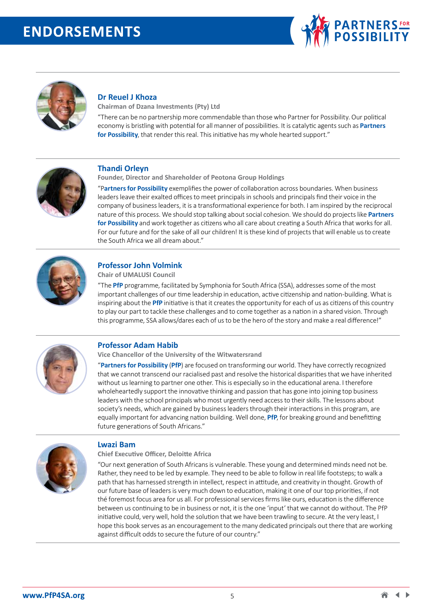



#### **Dr Reuel J Khoza**

**Chairman of Dzana Investments (Pty) Ltd**

"There can be no partnership more commendable than those who Partner for Possibility. Our political economy is bristling with potential for all manner of possibilities. It is catalytic agents such as **Partners for Possibility**, that render this real. This initiative has my whole hearted support."



#### **Thandi Orleyn**

**Founder, Director and Shareholder of Peotona Group Holdings** 

"P**artners for Possibility** exemplifies the power of collaboration across boundaries. When business leaders leave their exalted offices to meet principals in schools and principals find their voice in the company of business leaders, it is a transformational experience for both. I am inspired by the reciprocal nature of this process. We should stop talking about social cohesion. We should do projects like **Partners for Possibility** and work together as citizens who all care about creating a South Africa that works for all. For our future and for the sake of all our children! It is these kind of projects that will enable us to create the South Africa we all dream about."



#### **Professor John Volmink**

**Chair of UMALUSI Council** 

"The **PfP** programme, facilitated by Symphonia for South Africa (SSA), addresses some of the most important challenges of our time leadership in education, active citizenship and nation-building. What is inspiring about the **PfP** initiative is that it creates the opportunity for each of us as citizens of this country to play our part to tackle these challenges and to come together as a nation in a shared vision. Through this programme, SSA allows/dares each of us to be the hero of the story and make a real difference!"



#### **Professor Adam Habib**

**Vice Chancellor of the University of the Witwatersrand** 

"**Partners for Possibility** (**PfP**) are focused on transforming our world. They have correctly recognized that we cannot transcend our racialised past and resolve the historical disparities that we have inherited without us learning to partner one other. This is especially so in the educational arena. I therefore wholeheartedly support the innovative thinking and passion that has gone into joining top business leaders with the school principals who most urgently need access to their skills. The lessons about society's needs, which are gained by business leaders through their interactions in this program, are equally important for advancing nation building. Well done, **PfP**, for breaking ground and benefitting future generations of South Africans."



#### **Lwazi Bam**

**Chief Executive Officer, Deloitte Africa**

"Our next generation of South Africans is vulnerable. These young and determined minds need not be. Rather, they need to be led by example. They need to be able to follow in real life footsteps; to walk a path that has harnessed strength in intellect, respect in attitude, and creativity in thought. Growth of our future base of leaders is very much down to education, making it one of our top priorities, if not thé foremost focus area for us all. For professional services firms like ours, education is the difference between us continuing to be in business or not, it is the one 'input' that we cannot do without. The PfP initiative could, very well, hold the solution that we have been trawling to secure. At the very least, I hope this book serves as an encouragement to the many dedicated principals out there that are working against difficult odds to secure the future of our country."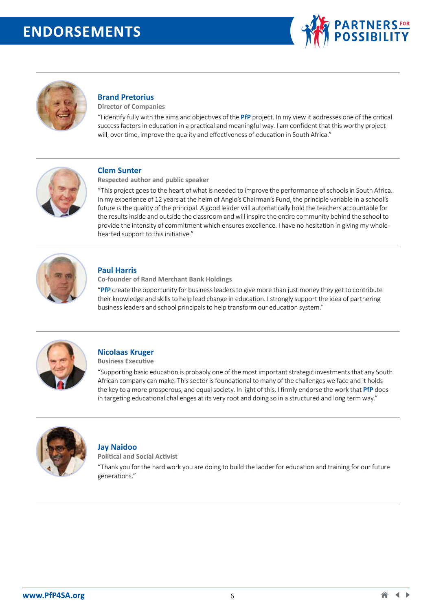



## **Brand Pretorius**

**Director of Companies** 

"I identify fully with the aims and objectives of the **PfP** project. In my view it addresses one of the critical success factors in education in a practical and meaningful way. I am confident that this worthy project will, over time, improve the quality and effectiveness of education in South Africa."



#### **Clem Sunter**

**Respected author and public speaker** 

"This project goes to the heart of what is needed to improve the performance of schools in South Africa. In my experience of 12 years at the helm of Anglo's Chairman's Fund, the principle variable in a school's future is the quality of the principal. A good leader will automatically hold the teachers accountable for the results inside and outside the classroom and will inspire the entire community behind the school to provide the intensity of commitment which ensures excellence. I have no hesitation in giving my wholehearted support to this initiative."



#### **Paul Harris**

**Co-founder of Rand Merchant Bank Holdings**

"**PfP** create the opportunity for business leaders to give more than just money they get to contribute their knowledge and skills to help lead change in education. I strongly support the idea of partnering business leaders and school principals to help transform our education system."



## **Nicolaas Kruger**

**Business Executive**

"Supporting basic education is probably one of the most important strategic investments that any South African company can make. This sector is foundational to many of the challenges we face and it holds the key to a more prosperous, and equal society. In light of this, I firmly endorse the work that **PfP** does in targeting educational challenges at its very root and doing so in a structured and long term way."



#### **Jay Naidoo**

**Political and Social Activist**

"Thank you for the hard work you are doing to build the ladder for education and training for our future generations."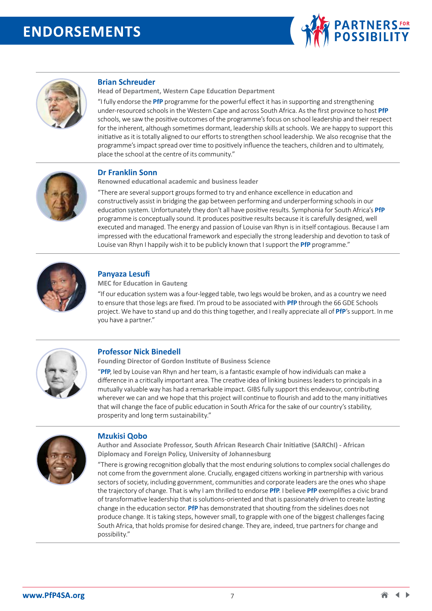



### **Brian Schreuder**

**Head of Department, Western Cape Education Department**

"I fully endorse the **PfP** programme for the powerful effect it has in supporting and strengthening under-resourced schools in the Western Cape and across South Africa. As the first province to host **PfP** schools, we saw the positive outcomes of the programme's focus on school leadership and their respect for the inherent, although sometimes dormant, leadership skills at schools. We are happy to support this initiative as it is totally aligned to our efforts to strengthen school leadership. We also recognise that the programme's impact spread over time to positively influence the teachers, children and to ultimately, place the school at the centre of its community."



## **Dr Franklin Sonn**

**Renowned educational academic and business leader** 

"There are several support groups formed to try and enhance excellence in education and constructively assist in bridging the gap between performing and underperforming schools in our education system. Unfortunately they don't all have positive results. Symphonia for South Africa's **PfP** programme is conceptually sound. It produces positive results because it is carefully designed, well executed and managed. The energy and passion of Louise van Rhyn is in itself contagious. Because I am impressed with the educational framework and especially the strong leadership and devotion to task of Louise van Rhyn I happily wish it to be publicly known that I support the **PfP** programme."



## **Panyaza Lesufi**

**MEC for Education in Gauteng**

"If our education system was a four-legged table, two legs would be broken, and as a country we need to ensure that those legs are fixed. I'm proud to be associated with **PfP** through the 66 GDE Schools project. We have to stand up and do this thing together, and I really appreciate all of **PfP**'s support. In me you have a partner."



## **Professor Nick Binedell**

**Founding Director of Gordon Institute of Business Science**

"**PfP**, led by Louise van Rhyn and her team, is a fantastic example of how individuals can make a difference in a critically important area. The creative idea of linking business leaders to principals in a mutually valuable way has had a remarkable impact. GIBS fully support this endeavour, contributing wherever we can and we hope that this project will continue to flourish and add to the many initiatives that will change the face of public education in South Africa for the sake of our country's stability, prosperity and long term sustainability."



#### **Mzukisi Qobo**

**Author and Associate Professor, South African Research Chair Initiative (SARChI) - African Diplomacy and Foreign Policy, University of Johannesburg** 

"There is growing recognition globally that the most enduring solutions to complex social challenges do not come from the government alone. Crucially, engaged citizens working in partnership with various sectors of society, including government, communities and corporate leaders are the ones who shape the trajectory of change. That is why I am thrilled to endorse **PfP**. I believe **PfP** exemplifies a civic brand of transformative leadership that is solutions-oriented and that is passionately driven to create lasting change in the education sector. **PfP** has demonstrated that shouting from the sidelines does not produce change. It is taking steps, however small, to grapple with one of the biggest challenges facing South Africa, that holds promise for desired change. They are, indeed, true partners for change and possibility."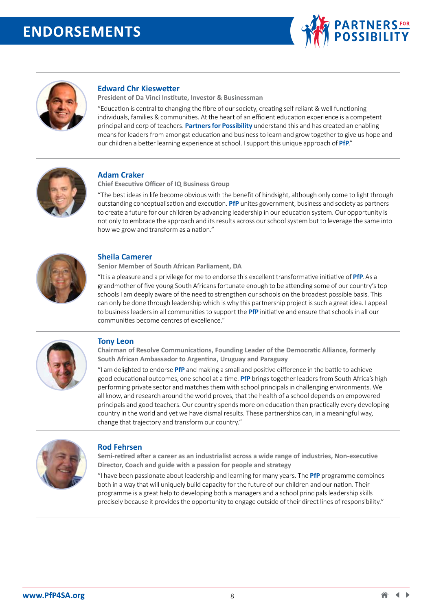



### **Edward Chr Kieswetter**

**President of Da Vinci Institute, Investor & Businessman** 

"Education is central to changing the fibre of our society, creating self reliant & well functioning individuals, families & communities. At the heart of an efficient education experience is a competent principal and corp of teachers. **Partners for Possibility** understand this and has created an enabling means for leaders from amongst education and business to learn and grow together to give us hope and our children a better learning experience at school. I support this unique approach of **PfP**."



#### **Adam Craker**

**Chief Executive Officer of IQ Business Group**

"The best ideas in life become obvious with the benefit of hindsight, although only come to light through outstanding conceptualisation and execution. **PfP** unites government, business and society as partners to create a future for our children by advancing leadership in our education system. Our opportunity is not only to embrace the approach and its results across our school system but to leverage the same into how we grow and transform as a nation."



#### **Sheila Camerer**

**Senior Member of South African Parliament, DA** 

"It is a pleasure and a privilege for me to endorse this excellent transformative initiative of **PfP**. As a grandmother of five young South Africans fortunate enough to be attending some of our country's top schools I am deeply aware of the need to strengthen our schools on the broadest possible basis. This can only be done through leadership which is why this partnership project is such a great idea. I appeal to business leaders in all communities to support the **PfP** initiative and ensure that schools in all our communities become centres of excellence."



#### **Tony Leon**

**Chairman of Resolve Communications, Founding Leader of the Democratic Alliance, formerly South African Ambassador to Argentina, Uruguay and Paraguay** 

"I am delighted to endorse **PfP** and making a small and positive difference in the battle to achieve good educational outcomes, one school at a time. **PfP** brings together leaders from South Africa's high performing private sector and matches them with school principals in challenging environments. We all know, and research around the world proves, that the health of a school depends on empowered principals and good teachers. Our country spends more on education than practically every developing country in the world and yet we have dismal results. These partnerships can, in a meaningful way, change that trajectory and transform our country."



#### **Rod Fehrsen**

**Semi-retired after a career as an industrialist across a wide range of industries, Non-executive Director, Coach and guide with a passion for people and strategy**

"I have been passionate about leadership and learning for many years. The **PfP** programme combines both in a way that will uniquely build capacity for the future of our children and our nation. Their programme is a great help to developing both a managers and a school principals leadership skills precisely because it provides the opportunity to engage outside of their direct lines of responsibility."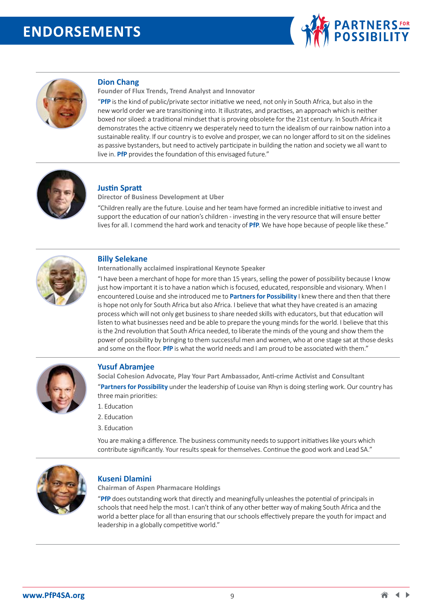



#### **Dion Chang**

**Founder of Flux Trends, Trend Analyst and Innovator**

"**PfP** is the kind of public/private sector initiative we need, not only in South Africa, but also in the new world order we are transitioning into. It illustrates, and practises, an approach which is neither boxed nor siloed: a traditional mindset that is proving obsolete for the 21st century. In South Africa it demonstrates the active citizenry we desperately need to turn the idealism of our rainbow nation into a sustainable reality. If our country is to evolve and prosper, we can no longer afford to sit on the sidelines as passive bystanders, but need to actively participate in building the nation and society we all want to live in. **PfP** provides the foundation of this envisaged future."



#### **Justin Spratt**

**Director of Business Development at Uber** 

"Children really are the future. Louise and her team have formed an incredible initiative to invest and support the education of our nation's children - investing in the very resource that will ensure better lives for all. I commend the hard work and tenacity of **PfP**. We have hope because of people like these."



#### **Billy Selekane**

**Internationally acclaimed inspirational Keynote Speaker** 

"I have been a merchant of hope for more than 15 years, selling the power of possibility because I know just how important it is to have a nation which is focused, educated, responsible and visionary. When I encountered Louise and she introduced me to **Partners for Possibility** I knew there and then that there is hope not only for South Africa but also Africa. I believe that what they have created is an amazing process which will not only get business to share needed skills with educators, but that education will listen to what businesses need and be able to prepare the young minds for the world. I believe that this is the 2nd revolution that South Africa needed, to liberate the minds of the young and show them the power of possibility by bringing to them successful men and women, who at one stage sat at those desks and some on the floor. **PfP** is what the world needs and I am proud to be associated with them."



#### **Yusuf Abramjee**

**Social Cohesion Advocate, Play Your Part Ambassador, Anti-crime Activist and Consultant** "**Partners for Possibility** under the leadership of Louise van Rhyn is doing sterling work. Our country has three main priorities:

- 1. Education
- 2. Education
- 3. Education

You are making a difference. The business community needs to support initiatives like yours which contribute significantly. Your results speak for themselves. Continue the good work and Lead SA."



#### **Kuseni Dlamini**

**Chairman of Aspen Pharmacare Holdings** 

"**PfP** does outstanding work that directly and meaningfully unleashes the potential of principals in schools that need help the most. I can't think of any other better way of making South Africa and the world a better place for all than ensuring that our schools effectively prepare the youth for impact and leadership in a globally competitive world."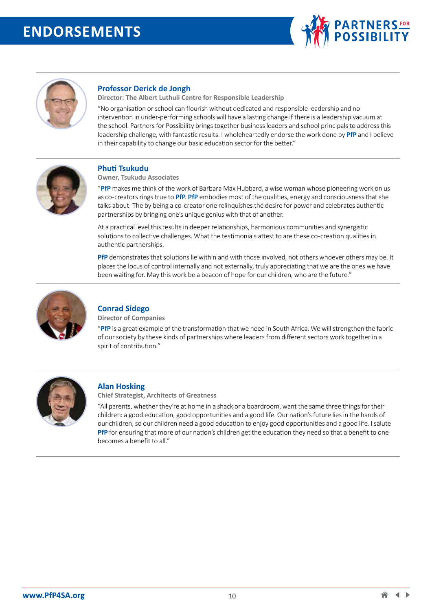



## **Professor Derick de Jongh**

**Director: The Albert Luthuli Centre for Responsible Leadership** 

"No organisation or school can flourish without dedicated and responsible leadership and no intervention in under-performing schools will have a lasting change if there is a leadership vacuum at the school. Partners for Possibility brings together business leaders and school principals to address this leadership challenge, with fantastic results. I wholeheartedly endorse the work done by **PfP** and I believe in their capability to change our basic education sector for the better."



## **Phuti Tsukudu**

**Owner, Tsukudu Associates** 

"**PfP** makes me think of the work of Barbara Max Hubbard, a wise woman whose pioneering work on us as co-creators rings true to **PfP**. **PfP** embodies most of the qualities, energy and consciousness that she talks about. The by being a co-creator one relinquishes the desire for power and celebrates authentic partnerships by bringing one's unique genius with that of another.

At a practical level this results in deeper relationships, harmonious communities and synergistic solutions to collective challenges. What the testimonials attest to are these co-creation qualities in authentic partnerships.

**PfP** demonstrates that solutions lie within and with those involved, not others whoever others may be. It places the locus of control internally and not externally, truly appreciating that we are the ones we have been waiting for. May this work be a beacon of hope for our children, who are the future."



#### **Conrad Sidego**

**Director of Companies** 

"**PfP** is a great example of the transformation that we need in South Africa. We will strengthen the fabric of our society by these kinds of partnerships where leaders from different sectors work together in a spirit of contribution."



#### **Alan Hosking**

**Chief Strategist, Architects of Greatness** 

"All parents, whether they're at home in a shack or a boardroom, want the same three things for their children: a good education, good opportunities and a good life. Our nation's future lies in the hands of our children, so our children need a good education to enjoy good opportunities and a good life. I salute **PfP** for ensuring that more of our nation's children get the education they need so that a benefit to one becomes a benefit to all."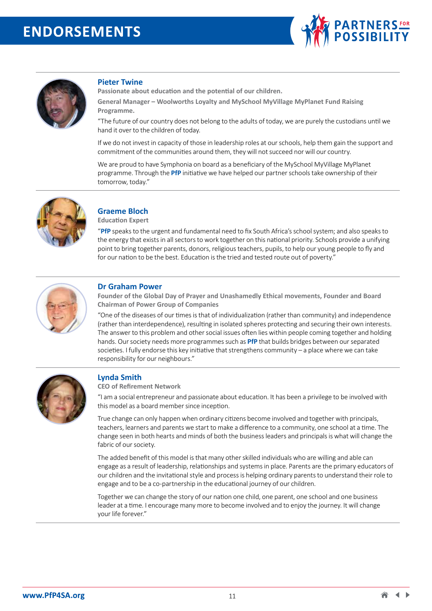



#### **Pieter Twine**

**Passionate about education and the potential of our children.**

**General Manager – Woolworths Loyalty and MySchool MyVillage MyPlanet Fund Raising Programme.**

"The future of our country does not belong to the adults of today, we are purely the custodians until we hand it over to the children of today.

If we do not invest in capacity of those in leadership roles at our schools, help them gain the support and commitment of the communities around them, they will not succeed nor will our country.

We are proud to have Symphonia on board as a beneficiary of the MySchool MyVillage MyPlanet programme. Through the **PfP** initiative we have helped our partner schools take ownership of their tomorrow, today."



## **Graeme Bloch**

**Education Expert** 

"**PfP** speaks to the urgent and fundamental need to fix South Africa's school system; and also speaks to the energy that exists in all sectors to work together on this national priority. Schools provide a unifying point to bring together parents, donors, religious teachers, pupils, to help our young people to fly and for our nation to be the best. Education is the tried and tested route out of poverty."



#### **Dr Graham Power**

**Founder of the Global Day of Prayer and Unashamedly Ethical movements, Founder and Board Chairman of Power Group of Companies**

"One of the diseases of our times is that of individualization (rather than community) and independence (rather than interdependence), resulting in isolated spheres protecting and securing their own interests. The answer to this problem and other social issues often lies within people coming together and holding hands. Our society needs more programmes such as **PfP** that builds bridges between our separated societies. I fully endorse this key initiative that strengthens community – a place where we can take responsibility for our neighbours."



#### **Lynda Smith**

**CEO of Refirement Network** 

"I am a social entrepreneur and passionate about education. It has been a privilege to be involved with this model as a board member since inception.

True change can only happen when ordinary citizens become involved and together with principals, teachers, learners and parents we start to make a difference to a community, one school at a time. The change seen in both hearts and minds of both the business leaders and principals is what will change the fabric of our society.

The added benefit of this model is that many other skilled individuals who are willing and able can engage as a result of leadership, relationships and systems in place. Parents are the primary educators of our children and the invitational style and process is helping ordinary parents to understand their role to engage and to be a co-partnership in the educational journey of our children.

Together we can change the story of our nation one child, one parent, one school and one business leader at a time. I encourage many more to become involved and to enjoy the journey. It will change your life forever."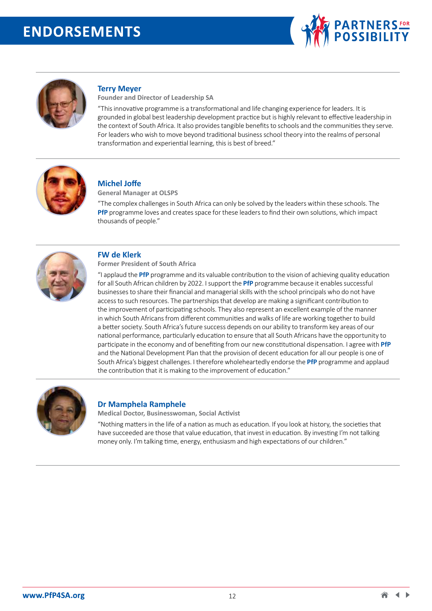



#### **Terry Meyer**

**Founder and Director of Leadership SA** 

"This innovative programme is a transformational and life changing experience for leaders. It is grounded in global best leadership development practice but is highly relevant to effective leadership in the context of South Africa. It also provides tangible benefits to schools and the communities they serve. For leaders who wish to move beyond traditional business school theory into the realms of personal transformation and experiential learning, this is best of breed."



#### **Michel Joffe**

**General Manager at OLSPS**

"The complex challenges in South Africa can only be solved by the leaders within these schools. The **PfP** programme loves and creates space for these leaders to find their own solutions, which impact thousands of people."



#### **FW de Klerk**

#### **Former President of South Africa**

"I applaud the **PfP** programme and its valuable contribution to the vision of achieving quality education for all South African children by 2022. I support the **PfP** programme because it enables successful businesses to share their financial and managerial skills with the school principals who do not have access to such resources. The partnerships that develop are making a significant contribution to the improvement of participating schools. They also represent an excellent example of the manner in which South Africans from different communities and walks of life are working together to build a better society. South Africa's future success depends on our ability to transform key areas of our national performance, particularly education to ensure that all South Africans have the opportunity to participate in the economy and of benefiting from our new constitutional dispensation. I agree with **PfP** and the National Development Plan that the provision of decent education for all our people is one of South Africa's biggest challenges. I therefore wholeheartedly endorse the **PfP** programme and applaud the contribution that it is making to the improvement of education."



#### **Dr Mamphela Ramphele**

**Medical Doctor, Businesswoman, Social Activist** 

"Nothing matters in the life of a nation as much as education. If you look at history, the societies that have succeeded are those that value education, that invest in education. By investing I'm not talking money only. I'm talking time, energy, enthusiasm and high expectations of our children."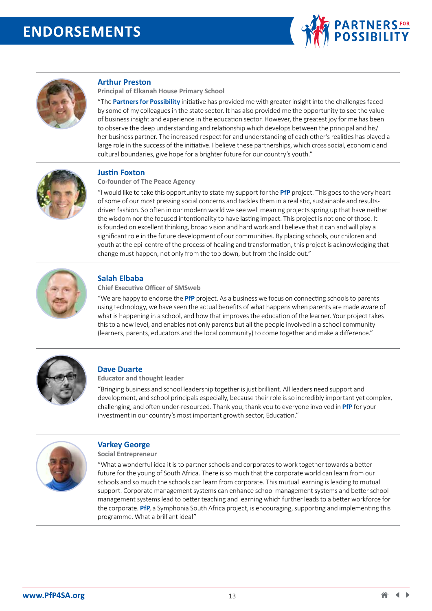



#### **Arthur Preston**

**Principal of Elkanah House Primary School** 

"The **Partners for Possibility** initiative has provided me with greater insight into the challenges faced by some of my colleagues in the state sector. It has also provided me the opportunity to see the value of business insight and experience in the education sector. However, the greatest joy for me has been to observe the deep understanding and relationship which develops between the principal and his/ her business partner. The increased respect for and understanding of each other's realities has played a large role in the success of the initiative. I believe these partnerships, which cross social, economic and cultural boundaries, give hope for a brighter future for our country's youth."



#### **Justin Foxton**

**Co-founder of The Peace Agency** 

"I would like to take this opportunity to state my support for the **PfP** project. This goes to the very heart of some of our most pressing social concerns and tackles them in a realistic, sustainable and resultsdriven fashion. So often in our modern world we see well meaning projects spring up that have neither the wisdom nor the focused intentionality to have lasting impact. This project is not one of those. It is founded on excellent thinking, broad vision and hard work and I believe that it can and will play a significant role in the future development of our communities. By placing schools, our children and youth at the epi-centre of the process of healing and transformation, this project is acknowledging that change must happen, not only from the top down, but from the inside out."



## **Salah Elbaba**

**Chief Executive Officer of SMSweb** 

"We are happy to endorse the **PfP** project. As a business we focus on connecting schools to parents using technology, we have seen the actual benefits of what happens when parents are made aware of what is happening in a school, and how that improves the education of the learner. Your project takes this to a new level, and enables not only parents but all the people involved in a school community (learners, parents, educators and the local community) to come together and make a difference."



#### **Dave Duarte**

**Educator and thought leader** 

"Bringing business and school leadership together is just brilliant. All leaders need support and development, and school principals especially, because their role is so incredibly important yet complex, challenging, and often under-resourced. Thank you, thank you to everyone involved in **PfP** for your investment in our country's most important growth sector, Education."



#### **Varkey George**

**Social Entrepreneur** 

"What a wonderful idea it is to partner schools and corporates to work together towards a better future for the young of South Africa. There is so much that the corporate world can learn from our schools and so much the schools can learn from corporate. This mutual learning is leading to mutual support. Corporate management systems can enhance school management systems and better school management systems lead to better teaching and learning which further leads to a better workforce for the corporate. **PfP**, a Symphonia South Africa project, is encouraging, supporting and implementing this programme. What a brilliant idea!"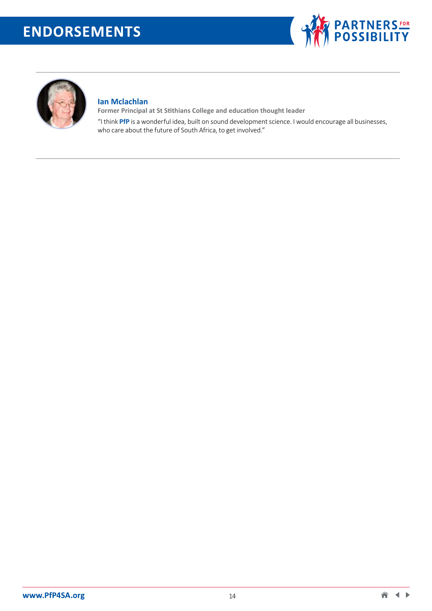



## **Ian Mclachlan**

**Former Principal at St Stithians College and education thought leader**  "I think **PfP** is a wonderful idea, built on sound development science. I would encourage all businesses, who care about the future of South Africa, to get involved."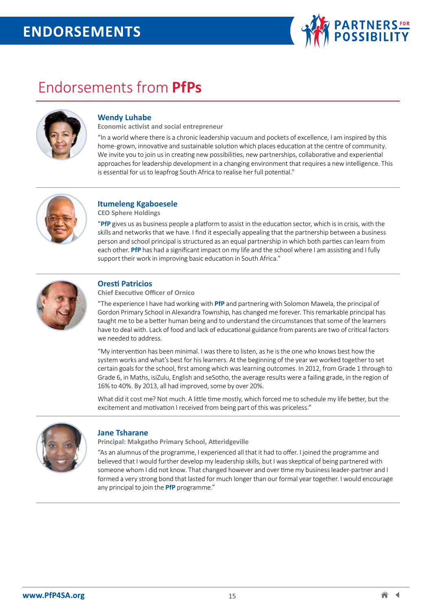

# Endorsements from **PfPs**



## **Wendy Luhabe**

**Economic activist and social entrepreneur** 

"In a world where there is a chronic leadership vacuum and pockets of excellence, I am inspired by this home-grown, innovative and sustainable solution which places education at the centre of community. We invite you to join us in creating new possibilities, new partnerships, collaborative and experiential approaches for leadership development in a changing environment that requires a new intelligence. This is essential for us to leapfrog South Africa to realise her full potential."



## **Itumeleng Kgaboesele**

**CEO Sphere Holdings**

"**PfP** gives us as business people a platform to assist in the education sector, which is in crisis, with the skills and networks that we have. I find it especially appealing that the partnership between a business person and school principal is structured as an equal partnership in which both parties can learn from each other. **PfP** has had a significant impact on my life and the school where I am assisting and I fully support their work in improving basic education in South Africa."



## **Oresti Patricios**

**Chief Executive Officer of Ornico** 

"The experience I have had working with **PfP** and partnering with Solomon Mawela, the principal of Gordon Primary School in Alexandra Township, has changed me forever. This remarkable principal has taught me to be a better human being and to understand the circumstances that some of the learners have to deal with. Lack of food and lack of educational guidance from parents are two of critical factors we needed to address.

"My intervention has been minimal. I was there to listen, as he is the one who knows best how the system works and what's best for his learners. At the beginning of the year we worked together to set certain goals for the school, first among which was learning outcomes. In 2012, from Grade 1 through to Grade 6, in Maths, isiZulu, English and seSotho, the average results were a failing grade, in the region of 16% to 40%. By 2013, all had improved, some by over 20%.

What did it cost me? Not much. A little time mostly, which forced me to schedule my life better, but the excitement and motivation I received from being part of this was priceless."



#### **Jane Tsharane**

**Principal: Makgatho Primary School, Atteridgeville** 

"As an alumnus of the programme, I experienced all that it had to offer. I joined the programme and believed that I would further develop my leadership skills, but I was skeptical of being partnered with someone whom I did not know. That changed however and over time my business leader-partner and I formed a very strong bond that lasted for much longer than our formal year together. I would encourage any principal to join the **PfP** programme."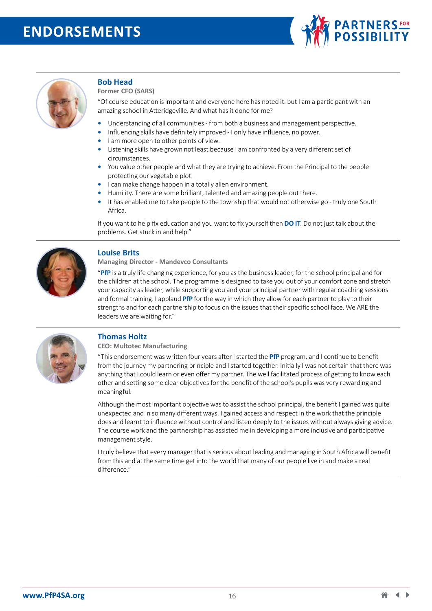



#### **Bob Head**

**Former CFO (SARS)** 

"Of course education is important and everyone here has noted it. but I am a participant with an amazing school in Atteridgeville. And what has it done for me?

- **•** Understanding of all communities from both a business and management perspective.
- **•** Influencing skills have definitely improved I only have influence, no power.
- **•** I am more open to other points of view.
- **•** Listening skills have grown not least because I am confronted by a very different set of circumstances.
- **•** You value other people and what they are trying to achieve. From the Principal to the people protecting our vegetable plot.
- **•** I can make change happen in a totally alien environment.
- **•** Humility. There are some brilliant, talented and amazing people out there.
- **•** It has enabled me to take people to the township that would not otherwise go truly one South Africa.

If you want to help fix education and you want to fix yourself then **DO IT**. Do not just talk about the problems. Get stuck in and help."



#### **Louise Brits**

**Managing Director - Mandevco Consultants** 

"**PfP** is a truly life changing experience, for you as the business leader, for the school principal and for the children at the school. The programme is designed to take you out of your comfort zone and stretch your capacity as leader, while supporting you and your principal partner with regular coaching sessions and formal training. I applaud **PfP** for the way in which they allow for each partner to play to their strengths and for each partnership to focus on the issues that their specific school face. We ARE the leaders we are waiting for."



#### **Thomas Holtz**

**CEO: Multotec Manufacturing** 

"This endorsement was written four years after I started the **PfP** program, and I continue to benefit from the journey my partnering principle and I started together. Initially I was not certain that there was anything that I could learn or even offer my partner. The well facilitated process of getting to know each other and setting some clear objectives for the benefit of the school's pupils was very rewarding and meaningful.

Although the most important objective was to assist the school principal, the benefit I gained was quite unexpected and in so many different ways. I gained access and respect in the work that the principle does and learnt to influence without control and listen deeply to the issues without always giving advice. The course work and the partnership has assisted me in developing a more inclusive and participative management style.

I truly believe that every manager that is serious about leading and managing in South Africa will benefit from this and at the same time get into the world that many of our people live in and make a real difference."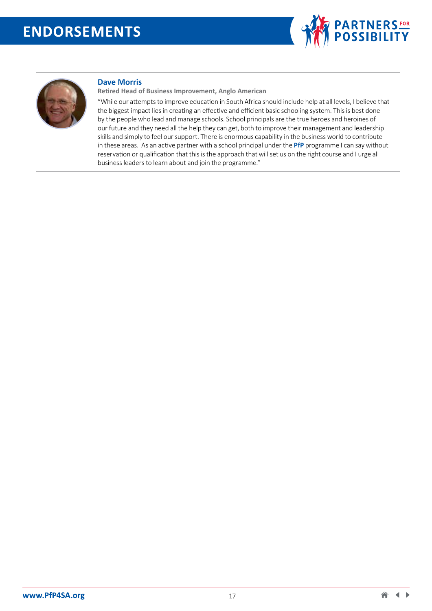



#### **Dave Morris**

**Retired Head of Business Improvement, Anglo American**

"While our attempts to improve education in South Africa should include help at all levels, I believe that the biggest impact lies in creating an effective and efficient basic schooling system. This is best done by the people who lead and manage schools. School principals are the true heroes and heroines of our future and they need all the help they can get, both to improve their management and leadership skills and simply to feel our support. There is enormous capability in the business world to contribute in these areas. As an active partner with a school principal under the **PfP** programme I can say without reservation or qualification that this is the approach that will set us on the right course and I urge all business leaders to learn about and join the programme."